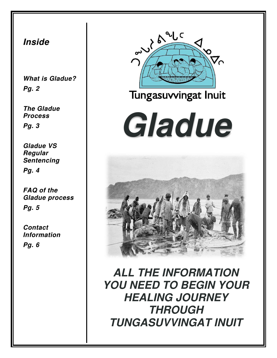#### **Inside**

**What is Gladue? Pg. 2** 

**The Gladue Process Pg. 3** 

**Gladue VS Regular Sentencing Pg. 4** 

**FAQ of the Gladue process Pg. 5** 

**Contact Information** 

**Pg. 6** 



#### Tungasuvvingat Inuit

# **Gladue**



**ALL THE INFORMATION YOU NEED TO BEGIN YOUR HEALING JOURNEY THROUGH TUNGASUVVINGAT INUIT**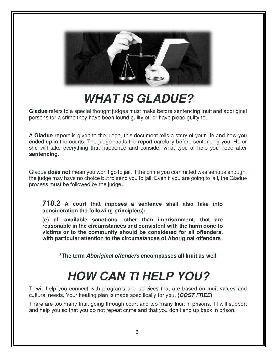

### **WHAT IS GLADUE?**

**Gladue** refers to a special thought judges must make before sentencing Inuit and aboriginal persons for a crime they have been found guilty of, or have plead guilty to.

A **Gladue report** is given to the judge, this document tells a story of your life and how you ended up in the courts. The judge reads the report carefully before sentencing you. He or she will take everything that happened and consider what type of help you need after **sentencing**.

Gladue **does not** mean you won't go to jail. If the crime you committed was serious enough, the judge may have no choice but to send you to jail. Even if you are going to jail, the Gladue process must be followed by the judge.

**718.2 A court that imposes a sentence shall also take into consideration the following principle(s):**

**(e) all available sanctions, other than imprisonment, that are reasonable in the circumstances and consistent with the harm done to victims or to the community should be considered for all offenders, with particular attention to the circumstances of Aboriginal offenders**

**\*The term Aboriginal offenders encompasses all Inuit as well** 

### **HOW CAN TI HELP YOU?**

TI will help you connect with programs and services that are based on Inuit values and cultural needs. Your healing plan is made specifically for you. **(COST FREE)** 

There are too many Inuit going through court and too many Inuit in prisons. TI will support and help you so that you do not repeat crime and that you don't end up back in prison.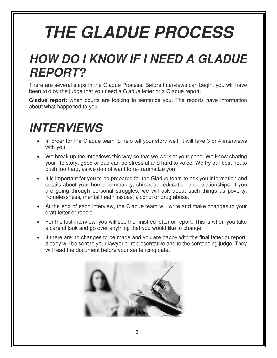## **THE GLADUE PROCESS**

### **HOW DO I KNOW IF I NEED A GLADUE REPORT?**

There are several steps in the Gladue Process. Before interviews can begin, you will have been told by the judge that you need a Gladue letter or a Gladue report.

**Gladue report:** when courts are looking to sentence you. The reports have information about what happened to you.

### **INTERVIEWS**

- In order for the Gladue team to help tell your story well, it will take 3 or 4 interviews with you.
- We break up the interviews this way so that we work at your pace. We know sharing your life story, good or bad can be stressful and hard to voice. We try our best not to push too hard, as we do not want to re-traumatize you.
- It is important for you to be prepared for the Gladue team to ask you information and details about your home community, childhood, education and relationships. If you are going through personal struggles, we will ask about such things as poverty, homelessness, mental health issues, alcohol or drug abuse.
- At the end of each interview, the Gladue team will write and make changes to your draft letter or report.
- For the last interview, you will see the finished letter or report. This is when you take a careful look and go over anything that you would like to change.
- If there are no changes to be made and you are happy with the final letter or report, a copy will be sent to your lawyer or representative and to the sentencing judge. They will read the document before your sentencing date.

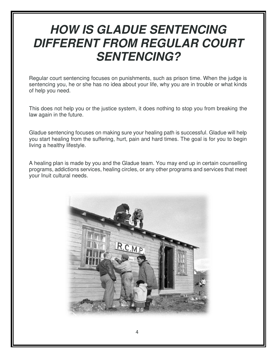### **HOW IS GLADUE SENTENCING DIFFERENT FROM REGULAR COURT SENTENCING?**

Regular court sentencing focuses on punishments, such as prison time. When the judge is sentencing you, he or she has no idea about your life, why you are in trouble or what kinds of help you need.

This does not help you or the justice system, it does nothing to stop you from breaking the law again in the future.

Gladue sentencing focuses on making sure your healing path is successful. Gladue will help you start healing from the suffering, hurt, pain and hard times. The goal is for you to begin living a healthy lifestyle.

A healing plan is made by you and the Gladue team. You may end up in certain counselling programs, addictions services, healing circles, or any other programs and services that meet your Inuit cultural needs.

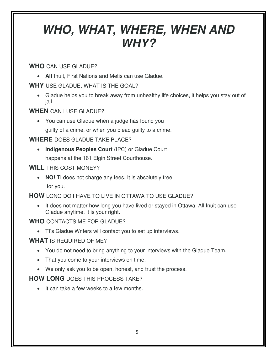### **WHO, WHAT, WHERE, WHEN AND WHY?**

**WHO** CAN USE GLADUE?

• **All** Inuit, First Nations and Metis can use Gladue.

#### **WHY** USE GLADUE, WHAT IS THE GOAL?

• Gladue helps you to break away from unhealthy life choices, it helps you stay out of jail.

#### **WHEN** CAN I USE GLADUE?

• You can use Gladue when a judge has found you guilty of a crime, or when you plead guilty to a crime.

**WHERE** DOES GLADUE TAKE PLACE?

• **Indigenous Peoples Court** (IPC) or Gladue Court happens at the 161 Elgin Street Courthouse.

#### **WILL** THIS COST MONEY?

• **NO!** TI does not charge any fees. It is absolutely free for you.

**HOW** LONG DO I HAVE TO LIVE IN OTTAWA TO USE GLADUE?

• It does not matter how long you have lived or stayed in Ottawa. All Inuit can use Gladue anytime, it is your right.

#### **WHO** CONTACTS ME FOR GLADUE?

• TI's Gladue Writers will contact you to set up interviews.

#### **WHAT** IS REQUIRED OF ME?

- You do not need to bring anything to your interviews with the Gladue Team.
- That you come to your interviews on time.
- We only ask you to be open, honest, and trust the process.

#### **HOW LONG** DOES THIS PROCESS TAKE?

• It can take a few weeks to a few months.